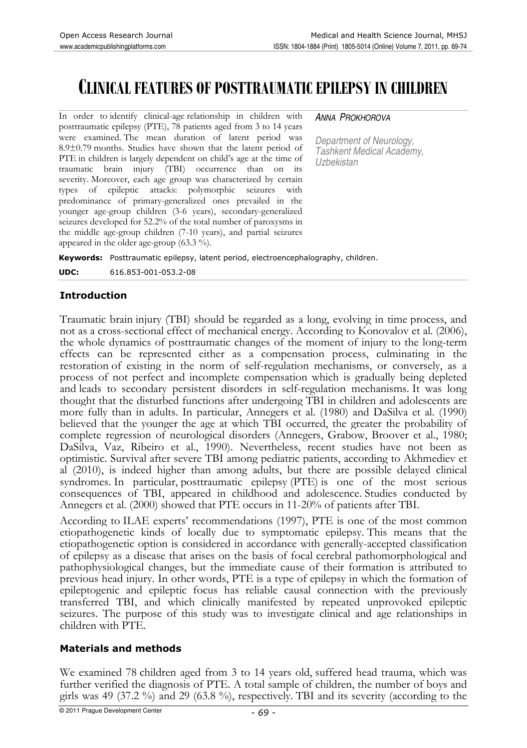# **CLINICAL FEATURES OF POSTTRAUMATIC EPILEPSY IN CHILDREN**

In order to identify clinical-age relationship in children with posttraumatic epilepsy (PTE), 78 patients aged from 3 to 14 years were examined. The mean duration of latent period was 8.9±0.79 months. Studies have shown that the latent period of PTE in children is largely dependent on child's age at the time of traumatic brain injury (TBI) occurrence than on its severity. Moreover, each age group was characterized by certain types of epileptic attacks: polymorphic seizures with predominance of primary-generalized ones prevailed in the younger age-group children (3-6 years), secondary-generalized seizures developed for 52.2% of the total number of paroxysms in the middle age-group children (7-10 years), and partial seizures appeared in the older age-group (63.3 %).

#### ANNA PROKHOROVA

Department of Neurology, Tashkent Medical Academy, Uzbekistan

**Keywords:** Posttraumatic epilepsy, latent period, electroencephalography, children.

**UDC:** 616.853-001-053.2-08

## **Introduction**

Traumatic brain injury (TBI) should be regarded as a long, evolving in time process, and not as a cross-sectional effect of mechanical energy. According to Konovalov et al. (2006), the whole dynamics of posttraumatic changes of the moment of injury to the long-term effects can be represented either as a compensation process, culminating in the restoration of existing in the norm of self-regulation mechanisms, or conversely, as a process of not perfect and incomplete compensation which is gradually being depleted and leads to secondary persistent disorders in self-regulation mechanisms. It was long thought that the disturbed functions after undergoing TBI in children and adolescents are more fully than in adults. In particular, Annegers et al. (1980) and DaSilva et al. (1990) believed that the younger the age at which TBI occurred, the greater the probability of complete regression of neurological disorders (Annegers, Grabow, Broover et al., 1980; DaSilva, Vaz, Ribeiro et al., 1990). Nevertheless, recent studies have not been as optimistic. Survival after severe TBI among pediatric patients, according to Akhmediev et al (2010), is indeed higher than among adults, but there are possible delayed clinical syndromes. In particular, posttraumatic epilepsy (PTE) is one of the most serious consequences of TBI, appeared in childhood and adolescence. Studies conducted by Annegers et al. (2000) showed that PTE occurs in 11-20% of patients after TBI.

According to ILAE experts' recommendations (1997), PTE is one of the most common etiopathogenetic kinds of locally due to symptomatic epilepsy. This means that the etiopathogenetic option is considered in accordance with generally-accepted classification of epilepsy as a disease that arises on the basis of focal cerebral pathomorphological and pathophysiological changes, but the immediate cause of their formation is attributed to previous head injury. In other words, PTE is a type of epilepsy in which the formation of epileptogenic and epileptic focus has reliable causal connection with the previously transferred TBI, and which clinically manifested by repeated unprovoked epileptic seizures. The purpose of this study was to investigate clinical and age relationships in children with PTE.

# **Materials and methods**

We examined 78 children aged from 3 to 14 years old, suffered head trauma, which was further verified the diagnosis of PTE. A total sample of children, the number of boys and girls was 49 (37.2 %) and 29 (63.8 %), respectively. TBI and its severity (according to the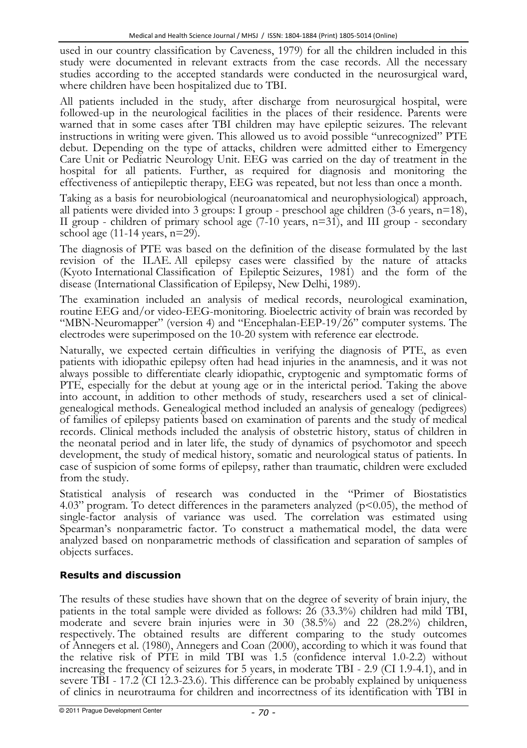used in our country classification by Caveness, 1979) for all the children included in this study were documented in relevant extracts from the case records. All the necessary studies according to the accepted standards were conducted in the neurosurgical ward, where children have been hospitalized due to TBI.

All patients included in the study, after discharge from neurosurgical hospital, were followed-up in the neurological facilities in the places of their residence. Parents were warned that in some cases after TBI children may have epileptic seizures. The relevant instructions in writing were given. This allowed us to avoid possible "unrecognized" PTE debut. Depending on the type of attacks, children were admitted either to Emergency Care Unit or Pediatric Neurology Unit. EEG was carried on the day of treatment in the hospital for all patients. Further, as required for diagnosis and monitoring the effectiveness of antiepileptic therapy, EEG was repeated, but not less than once a month.

Taking as a basis for neurobiological (neuroanatomical and neurophysiological) approach, all patients were divided into 3 groups: I group - preschool age children  $(3-6 \text{ years}, n=18)$ , II group - children of primary school age  $(7-10 \text{ years}, n=31)$ , and III group - secondary school age  $(11-14 \text{ years}, n=29)$ .

The diagnosis of PTE was based on the definition of the disease formulated by the last revision of the ILAE. All epilepsy cases were classified by the nature of attacks (Kyoto International Classification of Epileptic Seizures, 1981) and the form of the disease (International Classification of Epilepsy, New Delhi, 1989).

The examination included an analysis of medical records, neurological examination, routine EEG and/or video-EEG-monitoring. Bioelectric activity of brain was recorded by "MBN-Neuromapper" (version 4) and "Encephalan-EEP-19/26" computer systems. The electrodes were superimposed on the 10-20 system with reference ear electrode.

Naturally, we expected certain difficulties in verifying the diagnosis of PTE, as even patients with idiopathic epilepsy often had head injuries in the anamnesis, and it was not always possible to differentiate clearly idiopathic, cryptogenic and symptomatic forms of PTE, especially for the debut at young age or in the interictal period. Taking the above into account, in addition to other methods of study, researchers used a set of clinicalgenealogical methods. Genealogical method included an analysis of genealogy (pedigrees) of families of epilepsy patients based on examination of parents and the study of medical records. Clinical methods included the analysis of obstetric history, status of children in the neonatal period and in later life, the study of dynamics of psychomotor and speech development, the study of medical history, somatic and neurological status of patients. In case of suspicion of some forms of epilepsy, rather than traumatic, children were excluded from the study.

Statistical analysis of research was conducted in the "Primer of Biostatistics 4.03" program. To detect differences in the parameters analyzed ( $p<0.05$ ), the method of single-factor analysis of variance was used. The correlation was estimated using Spearman's nonparametric factor. To construct a mathematical model, the data were analyzed based on nonparametric methods of classification and separation of samples of objects surfaces.

# **Results and discussion**

The results of these studies have shown that on the degree of severity of brain injury, the patients in the total sample were divided as follows: 26 (33.3%) children had mild TBI, moderate and severe brain injuries were in 30 (38.5%) and 22 (28.2%) children, respectively. The obtained results are different comparing to the study outcomes of Annegers et al. (1980), Annegers and Coan (2000), according to which it was found that the relative risk of PTE in mild TBI was 1.5 (confidence interval 1.0-2.2) without increasing the frequency of seizures for 5 years, in moderate TBI - 2.9 (CI 1.9-4.1), and in severe TBI - 17.2 (CI 12.3-23.6). This difference can be probably explained by uniqueness of clinics in neurotrauma for children and incorrectness of its identification with TBI in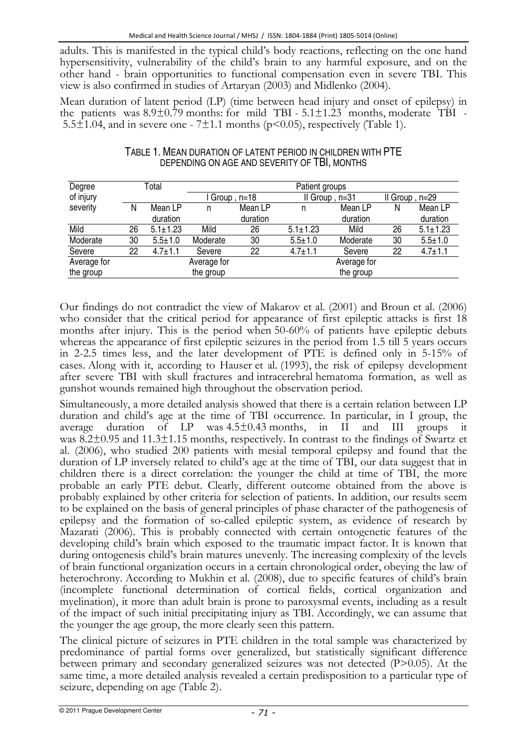adults. This is manifested in the typical child's body reactions, reflecting on the one hand hypersensitivity, vulnerability of the child's brain to any harmful exposure, and on the other hand - brain opportunities to functional compensation even in severe TBI. This view is also confirmed in studies of Artaryan (2003) and Midlenko (2004).

Mean duration of latent period (LP) (time between head injury and onset of epilepsy) in the patients was  $8.9\pm0.79$  months: for mild TBI - 5.1 $\pm1.23$  months, moderate TBI -5.5 $\pm$ 1.04, and in severe one - 7 $\pm$ 1.1 months (p<0.05), respectively (Table 1).

| Degree      | Total |                | Patient groups |          |                  |             |                 |                |  |
|-------------|-------|----------------|----------------|----------|------------------|-------------|-----------------|----------------|--|
| of injury   |       |                | Group , n=18   |          | Il Group, $n=31$ |             | III Group, n=29 |                |  |
| severity    | N     | Mean LP        | n              | Mean LP  | n                | Mean LP     | N               | Mean LP        |  |
|             |       | duration       |                | duration |                  | duration    |                 | duration       |  |
| Mild        | 26    | $5.1 \pm 1.23$ | Mild           | 26       | $5.1 \pm 1.23$   | Mild        | 26              | $5.1 \pm 1.23$ |  |
| Moderate    | 30    | $5.5 \pm 1.0$  | Moderate       | 30       | $5.5 \pm 1.0$    | Moderate    | 30              | $5.5 \pm 1.0$  |  |
| Severe      | 22    | $4.7 \pm 1.1$  | Severe         | 22       | $4.7 \pm 1.1$    | Severe      | 22              | $4.7 \pm 1.1$  |  |
| Average for |       |                | Average for    |          |                  | Average for |                 |                |  |
| the group   |       |                | the group      |          |                  | the group   |                 |                |  |

## TABLE 1. MEAN DURATION OF LATENT PERIOD IN CHILDREN WITH PTE DEPENDING ON AGE AND SEVERITY OF TBI, MONTHS

Our findings do not contradict the view of Makarov et al. (2001) and Broun et al. (2006) who consider that the critical period for appearance of first epileptic attacks is first 18 months after injury. This is the period when 50-60% of patients have epileptic debuts whereas the appearance of first epileptic seizures in the period from 1.5 till 5 years occurs in 2-2.5 times less, and the later development of PTE is defined only in 5-15% of cases. Along with it, according to Hauser et al. (1993), the risk of epilepsy development after severe TBI with skull fractures and intracerebral hematoma formation, as well as gunshot wounds remained high throughout the observation period.

Simultaneously, a more detailed analysis showed that there is a certain relation between LP duration and child's age at the time of TBI occurrence. In particular, in I group, the average duration of LP was  $4.5\pm0.43$  months, in II and III groups it was 8.2±0.95 and 11.3±1.15 months, respectively. In contrast to the findings of Swartz et al. (2006), who studied 200 patients with mesial temporal epilepsy and found that the duration of LP inversely related to child's age at the time of TBI, our data suggest that in children there is a direct correlation: the younger the child at time of TBI, the more probable an early PTE debut. Clearly, different outcome obtained from the above is probably explained by other criteria for selection of patients. In addition, our results seem to be explained on the basis of general principles of phase character of the pathogenesis of epilepsy and the formation of so-called epileptic system, as evidence of research by Mazarati (2006). This is probably connected with certain ontogenetic features of the developing child's brain which exposed to the traumatic impact factor. It is known that during ontogenesis child's brain matures unevenly. The increasing complexity of the levels of brain functional organization occurs in a certain chronological order, obeying the law of heterochrony. According to Mukhin et al. (2008), due to specific features of child's brain (incomplete functional determination of cortical fields, cortical organization and myelination), it more than adult brain is prone to paroxysmal events, including as a result of the impact of such initial precipitating injury as TBI. Accordingly, we can assume that the younger the age group, the more clearly seen this pattern.

The clinical picture of seizures in PTE children in the total sample was characterized by predominance of partial forms over generalized, but statistically significant difference between primary and secondary generalized seizures was not detected  $(P>0.05)$ . At the same time, a more detailed analysis revealed a certain predisposition to a particular type of seizure, depending on age (Table 2).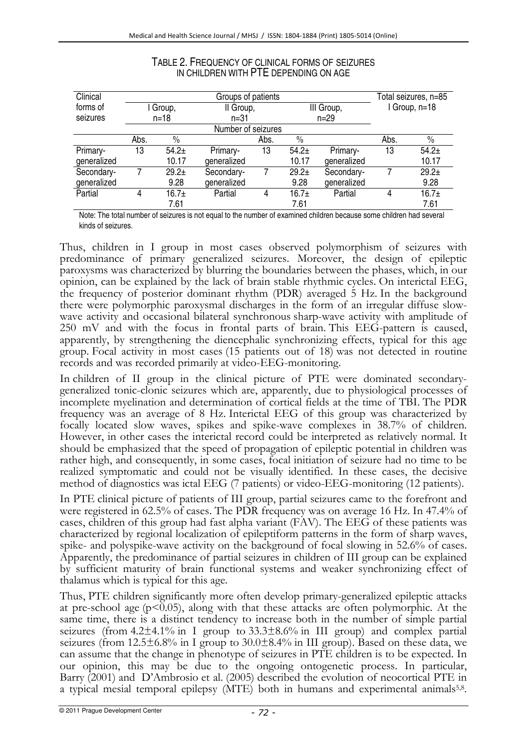| Clinical    |                    |               | Total seizures, n=85 |      |               |             |               |         |  |  |
|-------------|--------------------|---------------|----------------------|------|---------------|-------------|---------------|---------|--|--|
| forms of    | I Group,           |               | II Group.            |      | III Group,    |             | I Group, n=18 |         |  |  |
| seizures    | $n = 18$           |               | $n = 31$             |      | $n = 29$      |             |               |         |  |  |
|             | Number of seizures |               |                      |      |               |             |               |         |  |  |
|             | Abs.               | $\frac{0}{0}$ |                      | Abs. | $\frac{0}{0}$ |             | Abs.          | $\%$    |  |  |
| Primary-    | 13                 | $54.2+$       | Primary-             | 13   | $54.2+$       | Primary-    | 13            | $54.2+$ |  |  |
| generalized |                    | 10.17         | generalized          |      | 10.17         | generalized |               | 10.17   |  |  |
| Secondary-  |                    | $29.2+$       | Secondary-           |      | $29.2+$       | Secondary-  |               | $29.2+$ |  |  |
| generalized |                    | 9.28          | generalized          |      | 9.28          | generalized |               | 9.28    |  |  |
| Partial     |                    | 16.7±         | Partial              | 4    | $16.7+$       | Partial     | 4             | $16.7+$ |  |  |
|             |                    | 7.61          |                      |      | 7.61          |             |               | 7.61    |  |  |

### TABLE 2. FREQUENCY OF CLINICAL FORMS OF SEIZURES IN CHILDREN WITH PTE DEPENDING ON AGE

Note: The total number of seizures is not equal to the number of examined children because some children had several kinds of seizures.

Thus, children in I group in most cases observed polymorphism of seizures with predominance of primary generalized seizures. Moreover, the design of epileptic paroxysms was characterized by blurring the boundaries between the phases, which, in our opinion, can be explained by the lack of brain stable rhythmic cycles. On interictal EEG, the frequency of posterior dominant rhythm (PDR) averaged 5 Hz. In the background there were polymorphic paroxysmal discharges in the form of an irregular diffuse slowwave activity and occasional bilateral synchronous sharp-wave activity with amplitude of 250 mV and with the focus in frontal parts of brain. This EEG-pattern is caused, apparently, by strengthening the diencephalic synchronizing effects, typical for this age group. Focal activity in most cases (15 patients out of 18) was not detected in routine records and was recorded primarily at video-EEG-monitoring.

In children of II group in the clinical picture of PTE were dominated secondarygeneralized tonic-clonic seizures which are, apparently, due to physiological processes of incomplete myelination and determination of cortical fields at the time of TBI. The PDR frequency was an average of 8 Hz. Interictal EEG of this group was characterized by focally located slow waves, spikes and spike-wave complexes in 38.7% of children. However, in other cases the interictal record could be interpreted as relatively normal. It should be emphasized that the speed of propagation of epileptic potential in children was rather high, and consequently, in some cases, focal initiation of seizure had no time to be realized symptomatic and could not be visually identified. In these cases, the decisive method of diagnostics was ictal EEG (7 patients) or video-EEG-monitoring (12 patients).

In PTE clinical picture of patients of III group, partial seizures came to the forefront and were registered in 62.5% of cases. The PDR frequency was on average 16 Hz. In 47.4% of cases, children of this group had fast alpha variant (FAV). The EEG of these patients was characterized by regional localization of epileptiform patterns in the form of sharp waves, spike- and polyspike-wave activity on the background of focal slowing in 52.6% of cases. Apparently, the predominance of partial seizures in children of III group can be explained by sufficient maturity of brain functional systems and weaker synchronizing effect of thalamus which is typical for this age.

Thus, PTE children significantly more often develop primary-generalized epileptic attacks at pre-school age  $(p<0.05)$ , along with that these attacks are often polymorphic. At the same time, there is a distinct tendency to increase both in the number of simple partial seizures (from  $4.2\pm4.1\%$  in I group to  $33.3\pm8.6\%$  in III group) and complex partial seizures (from  $12.5\pm6.8\%$  in I group to  $30.0\pm8.4\%$  in III group). Based on these data, we can assume that the change in phenotype of seizures in PTE children is to be expected. In our opinion, this may be due to the ongoing ontogenetic process. In particular, Barry (2001) and D'Ambrosio et al. (2005) described the evolution of neocortical PTE in a typical mesial temporal epilepsy (MTE) both in humans and experimental animals<sup>5,8</sup>.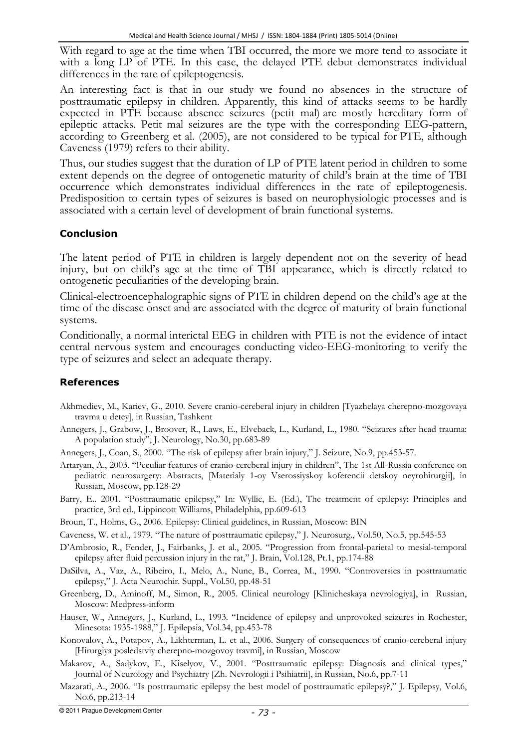With regard to age at the time when TBI occurred, the more we more tend to associate it with a long LP of PTE. In this case, the delayed PTE debut demonstrates individual differences in the rate of epileptogenesis.

An interesting fact is that in our study we found no absences in the structure of posttraumatic epilepsy in children. Apparently, this kind of attacks seems to be hardly expected in PTE because absence seizures (petit mal) are mostly hereditary form of epileptic attacks. Petit mal seizures are the type with the corresponding EEG-pattern, according to Greenberg et al. (2005), are not considered to be typical for PTE, although Caveness (1979) refers to their ability.

Thus, our studies suggest that the duration of LP of PTE latent period in children to some extent depends on the degree of ontogenetic maturity of child's brain at the time of TBI occurrence which demonstrates individual differences in the rate of epileptogenesis. Predisposition to certain types of seizures is based on neurophysiologic processes and is associated with a certain level of development of brain functional systems.

## **Conclusion**

The latent period of PTE in children is largely dependent not on the severity of head injury, but on child's age at the time of TBI appearance, which is directly related to ontogenetic peculiarities of the developing brain.

Clinical-electroencephalographic signs of PTE in children depend on the child's age at the time of the disease onset and are associated with the degree of maturity of brain functional systems.

Conditionally, a normal interictal EEG in children with PTE is not the evidence of intact central nervous system and encourages conducting video-EEG-monitoring to verify the type of seizures and select an adequate therapy.

# **References**

- Akhmediev, M., Kariev, G., 2010. Severe cranio-cereberal injury in children [Tyazhelaya cherepno-mozgovaya travma u detey], in Russian, Tashkent
- Annegers, J., Grabow, J., Broover, R., Laws, E., Elveback, L., Kurland, L., 1980. "Seizures after head trauma: A population study", J. Neurology, No.30, pp.683-89
- Annegers, J., Coan, S., 2000. "The risk of epilepsy after brain injury," J. Seizure, No.9, pp.453-57.
- Artaryan, A., 2003. "Peculiar features of cranio-cereberal injury in children", The 1st All-Russia conference on pediatric neurosurgery: Abstracts, [Materialy 1-oy Vserossiyskoy koferencii detskoy neyrohirurgii], in Russian, Moscow, pp.128-29
- Barry, E.. 2001. "Posttraumatic epilepsy," In: Wyllie, E. (Ed.), The treatment of epilepsy: Principles and practice, 3rd ed., Lippincott Williams, Philadelphia, pp.609-613
- Broun, T., Holms, G., 2006. Epilepsy: Clinical guidelines, in Russian, Мoscow: BIN
- Caveness, W. et al., 1979. "The nature of posttraumatic epilepsy," J. Neurosurg., Vol.50, No.5, pp.545-53
- D'Ambrosio, R., Fender, J., Fairbanks, J. et al., 2005. "Progression from frontal-parietal to mesial-temporal epilepsy after fluid percussion injury in the rat," J. Brain, Vol.128, Pt.1, pp.174-88
- DaSilva, A., Vaz, A., Ribeiro, I., Melo, A., Nune, B., Correa, M., 1990. "Controversies in posttraumatic epilepsy," J. Acta Neurochir. Suppl., Vol.50, pp.48-51
- Greenberg, D., Aminoff, M., Simon, R., 2005. Clinical neurology [Klinicheskaya nevrologiya], in Russian, Moscow: Medpress-inform
- Hauser, W., Annegers, J., Kurland, L., 1993. "Incidence of epilepsy and unprovoked seizures in Rochester, Minesota: 1935-1988," J. Epilepsia, Vol.34, pp.453-78
- Konovalov, A., Potapov, A., Likhterman, L. et al., 2006. Surgery of consequences of cranio-cereberal injury [Hirurgiya posledstviy cherepno-mozgovoy travmi], in Russian, Moscow
- Makarov, A., Sadykov, E., Kiselyov, V., 2001. "Posttraumatic epilepsy: Diagnosis and clinical types," Journal of Neurology and Psychiatry [Zh. Nevrologii i Psihiatrii], in Russian, No.6, pp.7-11
- Mazarati, A., 2006. "Is posttraumatic epilepsy the best model of posttraumatic epilepsy?," J. Epilepsy, Vol.6, No.6, pp.213-14